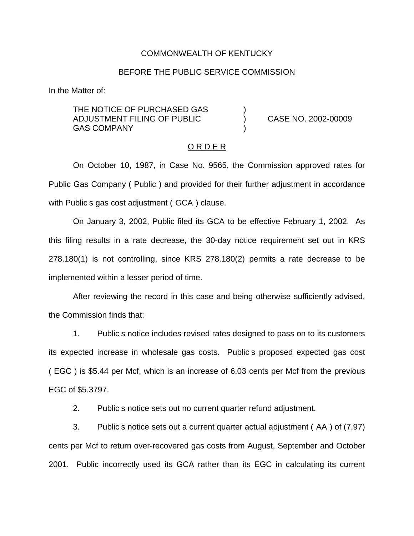#### COMMONWEALTH OF KENTUCKY

### BEFORE THE PUBLIC SERVICE COMMISSION

In the Matter of:

THE NOTICE OF PURCHASED GAS ADJUSTMENT FILING OF PUBLIC ) CASE NO. 2002-00009 **GAS COMPANY** 

#### O R D E R

On October 10, 1987, in Case No. 9565, the Commission approved rates for Public Gas Company ( Public ) and provided for their further adjustment in accordance with Public s gas cost adjustment ( GCA ) clause.

On January 3, 2002, Public filed its GCA to be effective February 1, 2002. As this filing results in a rate decrease, the 30-day notice requirement set out in KRS 278.180(1) is not controlling, since KRS 278.180(2) permits a rate decrease to be implemented within a lesser period of time.

After reviewing the record in this case and being otherwise sufficiently advised, the Commission finds that:

1. Public s notice includes revised rates designed to pass on to its customers its expected increase in wholesale gas costs. Public s proposed expected gas cost ( EGC ) is \$5.44 per Mcf, which is an increase of 6.03 cents per Mcf from the previous EGC of \$5.3797.

2. Public s notice sets out no current quarter refund adjustment.

3. Public s notice sets out a current quarter actual adjustment ( AA ) of (7.97) cents per Mcf to return over-recovered gas costs from August, September and October 2001. Public incorrectly used its GCA rather than its EGC in calculating its current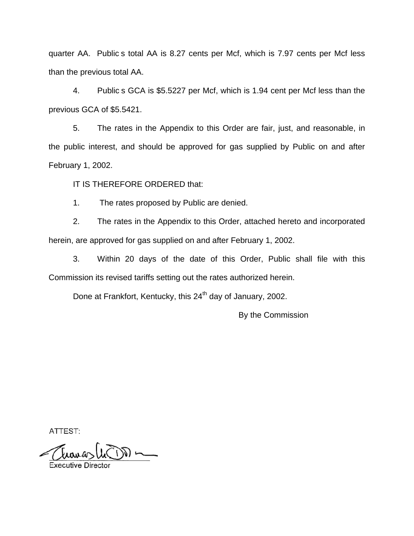quarter AA. Public s total AA is 8.27 cents per Mcf, which is 7.97 cents per Mcf less than the previous total AA.

4. Public s GCA is \$5.5227 per Mcf, which is 1.94 cent per Mcf less than the previous GCA of \$5.5421.

5. The rates in the Appendix to this Order are fair, just, and reasonable, in the public interest, and should be approved for gas supplied by Public on and after February 1, 2002.

IT IS THEREFORE ORDERED that:

1. The rates proposed by Public are denied.

2. The rates in the Appendix to this Order, attached hereto and incorporated herein, are approved for gas supplied on and after February 1, 2002.

3. Within 20 days of the date of this Order, Public shall file with this Commission its revised tariffs setting out the rates authorized herein.

Done at Frankfort, Kentucky, this 24<sup>th</sup> day of January, 2002.

By the Commission

ATTEST:

 $\longrightarrow$  M سم سمبرا